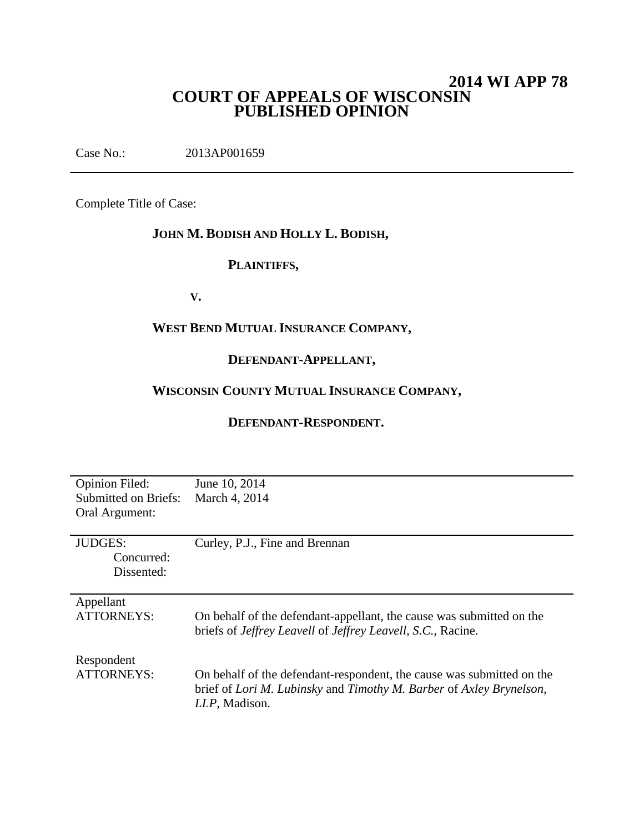# **2014 WI APP 78 COURT OF APPEALS OF WISCONSIN PUBLISHED OPINION**

Case No.: 2013AP001659

Complete Title of Case:

# **JOHN M. BODISH AND HOLLY L. BODISH,**

### **PLAINTIFFS,**

**V.**

#### **WEST BEND MUTUAL INSURANCE COMPANY,**

# **DEFENDANT-APPELLANT,**

# **WISCONSIN COUNTY MUTUAL INSURANCE COMPANY,**

#### **DEFENDANT-RESPONDENT.**

| June 10, 2014                                                                      |
|------------------------------------------------------------------------------------|
| March 4, 2014                                                                      |
|                                                                                    |
|                                                                                    |
| Curley, P.J., Fine and Brennan                                                     |
|                                                                                    |
|                                                                                    |
|                                                                                    |
|                                                                                    |
| On behalf of the defendant-appellant, the cause was submitted on the               |
| briefs of <i>Jeffrey Leavell</i> of <i>Jeffrey Leavell</i> , <i>S.C.</i> , Racine. |
|                                                                                    |
|                                                                                    |
| On behalf of the defendant-respondent, the cause was submitted on the              |
| brief of Lori M. Lubinsky and Timothy M. Barber of Axley Brynelson,                |
| LLP, Madison.                                                                      |
|                                                                                    |
|                                                                                    |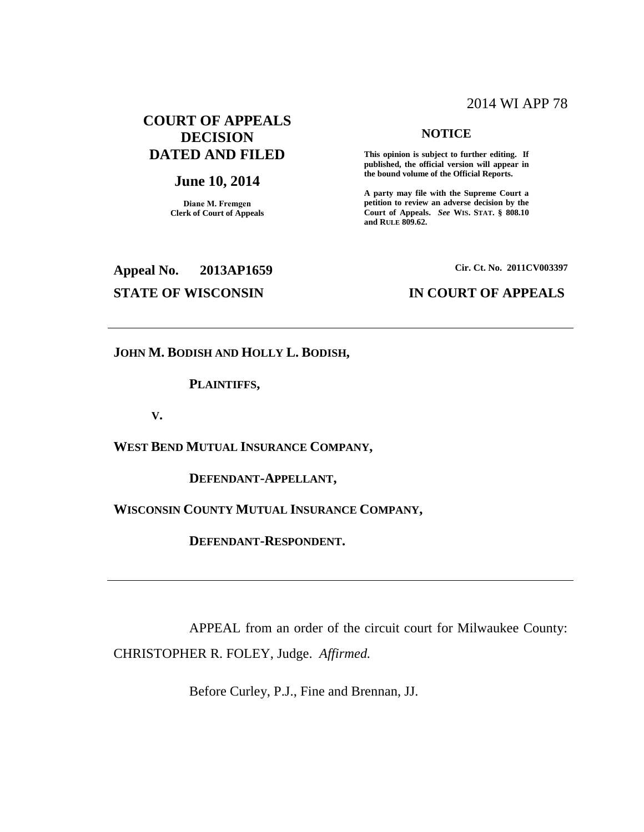#### 2014 WI APP 78

# **COURT OF APPEALS DECISION DATED AND FILED**

#### **June 10, 2014**

**Diane M. Fremgen Clerk of Court of Appeals**

#### **NOTICE**

**This opinion is subject to further editing. If published, the official version will appear in the bound volume of the Official Reports.** 

**A party may file with the Supreme Court a petition to review an adverse decision by the Court of Appeals.** *See* **WIS. STAT. § 808.10 and RULE 809.62.** 

# **Appeal No. 2013AP1659 Cir. Ct. No. 2011CV003397**

#### **STATE OF WISCONSIN IN COURT OF APPEALS**

**JOHN M. BODISH AND HOLLY L. BODISH,**

**PLAINTIFFS,**

**V.**

**WEST BEND MUTUAL INSURANCE COMPANY,**

**DEFENDANT-APPELLANT,**

**WISCONSIN COUNTY MUTUAL INSURANCE COMPANY,**

**DEFENDANT-RESPONDENT.**

APPEAL from an order of the circuit court for Milwaukee County: CHRISTOPHER R. FOLEY, Judge. *Affirmed.*

Before Curley, P.J., Fine and Brennan, JJ.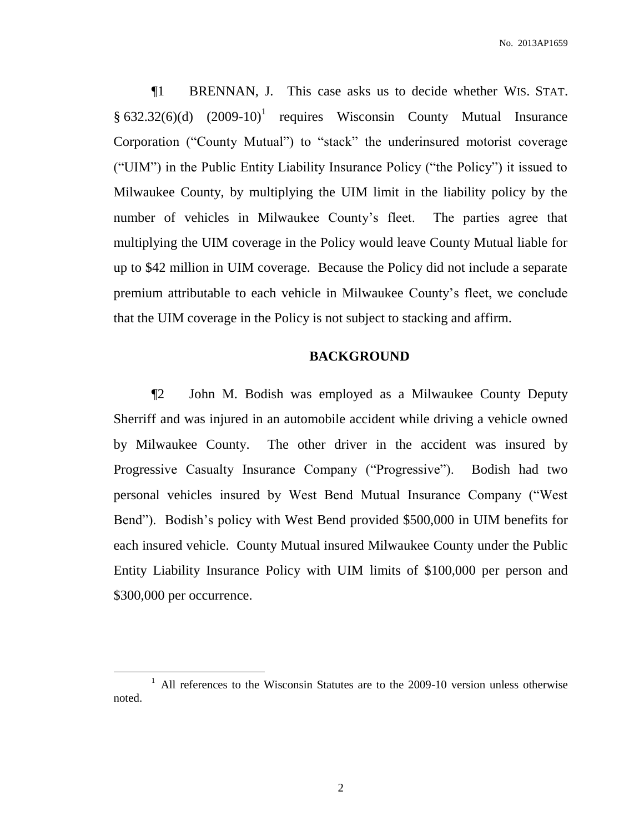¶1 BRENNAN, J. This case asks us to decide whether WIS. STAT.  $§ 632.32(6)(d)$   $(2009-10)^1$  requires Wisconsin County Mutual Insurance Corporation ("County Mutual") to "stack" the underinsured motorist coverage ("UIM") in the Public Entity Liability Insurance Policy ("the Policy") it issued to Milwaukee County, by multiplying the UIM limit in the liability policy by the number of vehicles in Milwaukee County's fleet. The parties agree that multiplying the UIM coverage in the Policy would leave County Mutual liable for up to \$42 million in UIM coverage. Because the Policy did not include a separate premium attributable to each vehicle in Milwaukee County's fleet, we conclude that the UIM coverage in the Policy is not subject to stacking and affirm.

#### **BACKGROUND**

¶2 John M. Bodish was employed as a Milwaukee County Deputy Sherriff and was injured in an automobile accident while driving a vehicle owned by Milwaukee County. The other driver in the accident was insured by Progressive Casualty Insurance Company ("Progressive"). Bodish had two personal vehicles insured by West Bend Mutual Insurance Company ("West Bend"). Bodish's policy with West Bend provided \$500,000 in UIM benefits for each insured vehicle. County Mutual insured Milwaukee County under the Public Entity Liability Insurance Policy with UIM limits of \$100,000 per person and \$300,000 per occurrence.

<sup>&</sup>lt;sup>1</sup> All references to the Wisconsin Statutes are to the 2009-10 version unless otherwise noted.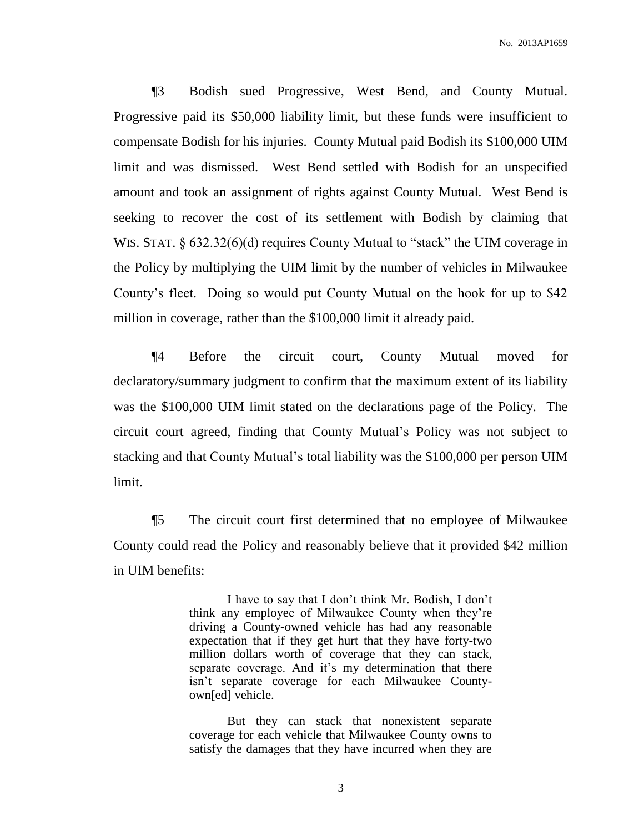¶3 Bodish sued Progressive, West Bend, and County Mutual. Progressive paid its \$50,000 liability limit, but these funds were insufficient to compensate Bodish for his injuries. County Mutual paid Bodish its \$100,000 UIM limit and was dismissed. West Bend settled with Bodish for an unspecified amount and took an assignment of rights against County Mutual. West Bend is seeking to recover the cost of its settlement with Bodish by claiming that WIS. STAT. § 632.32(6)(d) requires County Mutual to "stack" the UIM coverage in the Policy by multiplying the UIM limit by the number of vehicles in Milwaukee County's fleet. Doing so would put County Mutual on the hook for up to \$42 million in coverage, rather than the \$100,000 limit it already paid.

¶4 Before the circuit court, County Mutual moved for declaratory/summary judgment to confirm that the maximum extent of its liability was the \$100,000 UIM limit stated on the declarations page of the Policy. The circuit court agreed, finding that County Mutual's Policy was not subject to stacking and that County Mutual's total liability was the \$100,000 per person UIM limit.

¶5 The circuit court first determined that no employee of Milwaukee County could read the Policy and reasonably believe that it provided \$42 million in UIM benefits:

> I have to say that I don't think Mr. Bodish, I don't think any employee of Milwaukee County when they're driving a County-owned vehicle has had any reasonable expectation that if they get hurt that they have forty-two million dollars worth of coverage that they can stack, separate coverage. And it's my determination that there isn't separate coverage for each Milwaukee Countyown[ed] vehicle.

> But they can stack that nonexistent separate coverage for each vehicle that Milwaukee County owns to satisfy the damages that they have incurred when they are

> > 3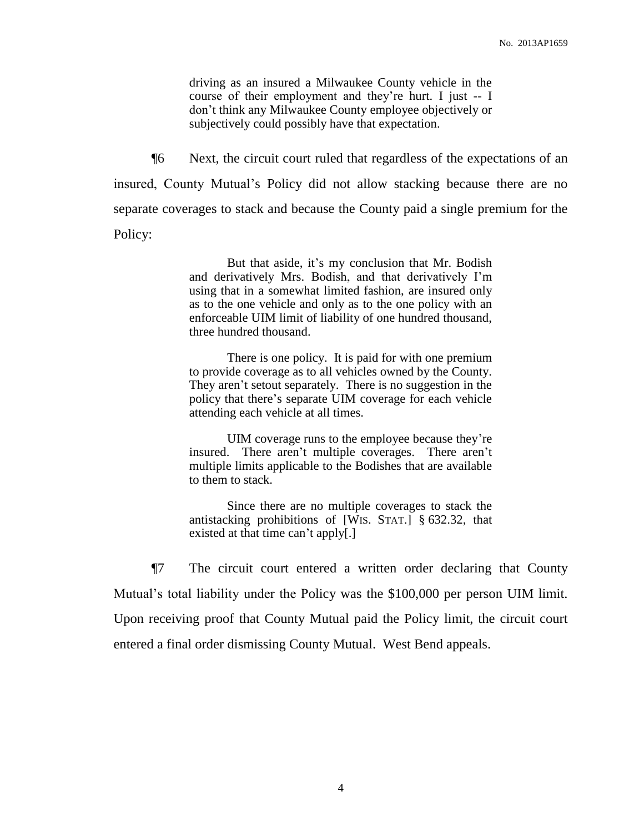driving as an insured a Milwaukee County vehicle in the course of their employment and they're hurt. I just -- I don't think any Milwaukee County employee objectively or subjectively could possibly have that expectation.

¶6 Next, the circuit court ruled that regardless of the expectations of an insured, County Mutual's Policy did not allow stacking because there are no separate coverages to stack and because the County paid a single premium for the Policy:

> But that aside, it's my conclusion that Mr. Bodish and derivatively Mrs. Bodish, and that derivatively I'm using that in a somewhat limited fashion, are insured only as to the one vehicle and only as to the one policy with an enforceable UIM limit of liability of one hundred thousand, three hundred thousand.

> There is one policy. It is paid for with one premium to provide coverage as to all vehicles owned by the County. They aren't setout separately. There is no suggestion in the policy that there's separate UIM coverage for each vehicle attending each vehicle at all times.

> UIM coverage runs to the employee because they're insured. There aren't multiple coverages. There aren't multiple limits applicable to the Bodishes that are available to them to stack.

> Since there are no multiple coverages to stack the antistacking prohibitions of [WIS. STAT.] § 632.32, that existed at that time can't apply[.]

¶7 The circuit court entered a written order declaring that County Mutual's total liability under the Policy was the \$100,000 per person UIM limit. Upon receiving proof that County Mutual paid the Policy limit, the circuit court entered a final order dismissing County Mutual. West Bend appeals.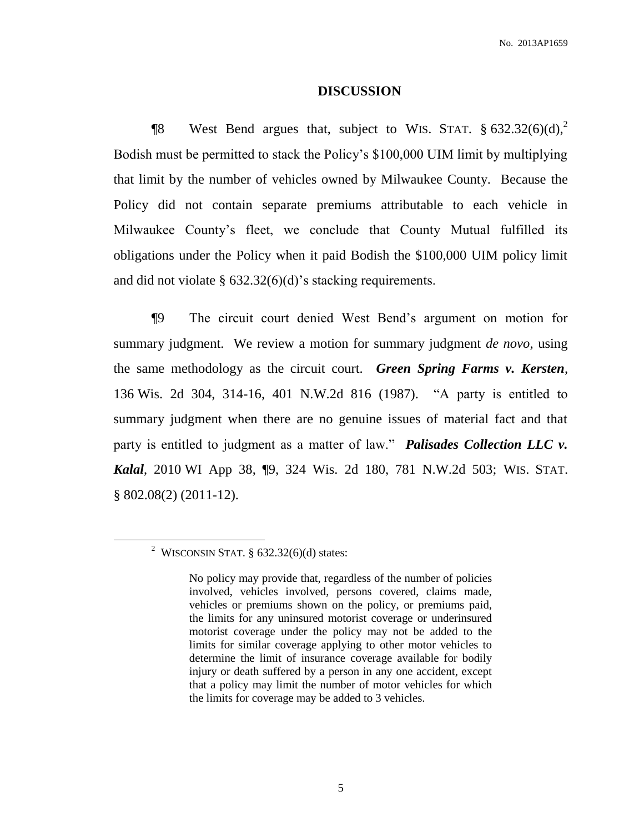#### **DISCUSSION**

**The West Bend argues that, subject to WIS. STAT.**  $\S 632.32(6)(d)$ ,<sup>2</sup> Bodish must be permitted to stack the Policy's \$100,000 UIM limit by multiplying that limit by the number of vehicles owned by Milwaukee County. Because the Policy did not contain separate premiums attributable to each vehicle in Milwaukee County's fleet, we conclude that County Mutual fulfilled its obligations under the Policy when it paid Bodish the \$100,000 UIM policy limit and did not violate  $\S$  632.32(6)(d)'s stacking requirements.

¶9 The circuit court denied West Bend's argument on motion for summary judgment. We review a motion for summary judgment *de novo*, using the same methodology as the circuit court. *Green Spring Farms v. Kersten*, 136 Wis. 2d 304, 314-16, 401 N.W.2d 816 (1987). "A party is entitled to summary judgment when there are no genuine issues of material fact and that party is entitled to judgment as a matter of law." *Palisades Collection LLC v. Kalal*, 2010 WI App 38, ¶9, 324 Wis. 2d 180, 781 N.W.2d 503; WIS. STAT. § 802.08(2) (2011-12).

<sup>&</sup>lt;sup>2</sup> WISCONSIN STAT.  $\S$  632.32(6)(d) states:

No policy may provide that, regardless of the number of policies involved, vehicles involved, persons covered, claims made, vehicles or premiums shown on the policy, or premiums paid, the limits for any uninsured motorist coverage or underinsured motorist coverage under the policy may not be added to the limits for similar coverage applying to other motor vehicles to determine the limit of insurance coverage available for bodily injury or death suffered by a person in any one accident, except that a policy may limit the number of motor vehicles for which the limits for coverage may be added to 3 vehicles.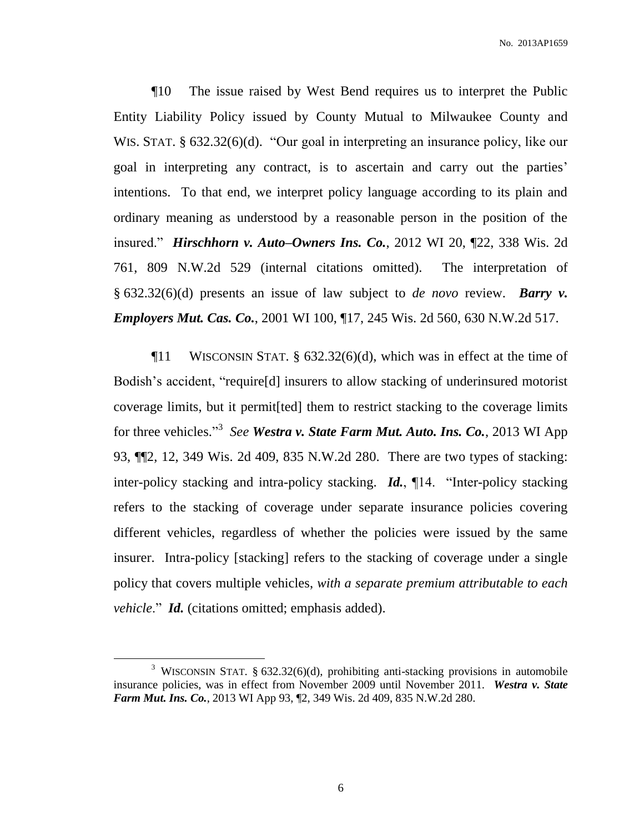¶10 The issue raised by West Bend requires us to interpret the Public Entity Liability Policy issued by County Mutual to Milwaukee County and WIS. STAT. § 632.32(6)(d). "Our goal in interpreting an insurance policy, like our goal in interpreting any contract, is to ascertain and carry out the parties' intentions. To that end, we interpret policy language according to its plain and ordinary meaning as understood by a reasonable person in the position of the insured." *Hirschhorn v. Auto–Owners Ins. Co.*, 2012 WI 20, ¶22, 338 Wis. 2d 761, 809 N.W.2d 529 (internal citations omitted). The interpretation of § 632.32(6)(d) presents an issue of law subject to *de novo* review. *Barry v. Employers Mut. Cas. Co.*, 2001 WI 100, ¶17, 245 Wis. 2d 560, 630 N.W.2d 517.

 $\P$ 11 WISCONSIN STAT. § 632.32(6)(d), which was in effect at the time of Bodish's accident, "require[d] insurers to allow stacking of underinsured motorist coverage limits, but it permit[ted] them to restrict stacking to the coverage limits for three vehicles." 3 *See Westra v. State Farm Mut. Auto. Ins. Co.*, 2013 WI App 93, ¶¶2, 12, 349 Wis. 2d 409, 835 N.W.2d 280. There are two types of stacking: inter-policy stacking and intra-policy stacking. *Id.*, ¶14. "Inter-policy stacking refers to the stacking of coverage under separate insurance policies covering different vehicles, regardless of whether the policies were issued by the same insurer. Intra-policy [stacking] refers to the stacking of coverage under a single policy that covers multiple vehicles, *with a separate premium attributable to each vehicle*." *Id.* (citations omitted; emphasis added).

<sup>&</sup>lt;sup>3</sup> WISCONSIN STAT. § 632.32(6)(d), prohibiting anti-stacking provisions in automobile insurance policies, was in effect from November 2009 until November 2011. *Westra v. State Farm Mut. Ins. Co.*, 2013 WI App 93, ¶2, 349 Wis. 2d 409, 835 N.W.2d 280.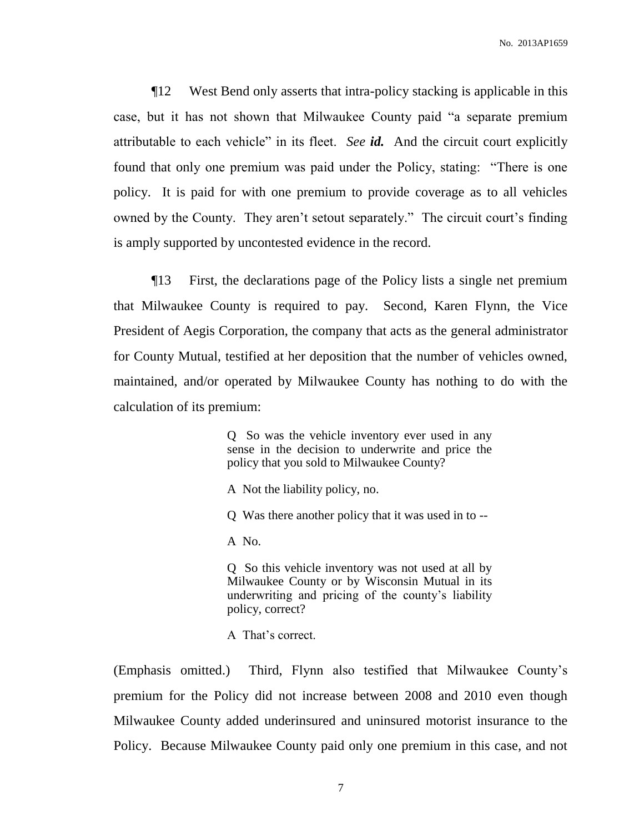¶12 West Bend only asserts that intra-policy stacking is applicable in this case, but it has not shown that Milwaukee County paid "a separate premium attributable to each vehicle" in its fleet. *See id.* And the circuit court explicitly found that only one premium was paid under the Policy, stating: "There is one policy. It is paid for with one premium to provide coverage as to all vehicles owned by the County. They aren't setout separately." The circuit court's finding is amply supported by uncontested evidence in the record.

¶13 First, the declarations page of the Policy lists a single net premium that Milwaukee County is required to pay. Second, Karen Flynn, the Vice President of Aegis Corporation, the company that acts as the general administrator for County Mutual, testified at her deposition that the number of vehicles owned, maintained, and/or operated by Milwaukee County has nothing to do with the calculation of its premium:

> Q So was the vehicle inventory ever used in any sense in the decision to underwrite and price the policy that you sold to Milwaukee County?

A Not the liability policy, no.

Q Was there another policy that it was used in to --

A No.

Q So this vehicle inventory was not used at all by Milwaukee County or by Wisconsin Mutual in its underwriting and pricing of the county's liability policy, correct?

A That's correct.

(Emphasis omitted.) Third, Flynn also testified that Milwaukee County's premium for the Policy did not increase between 2008 and 2010 even though Milwaukee County added underinsured and uninsured motorist insurance to the Policy. Because Milwaukee County paid only one premium in this case, and not

7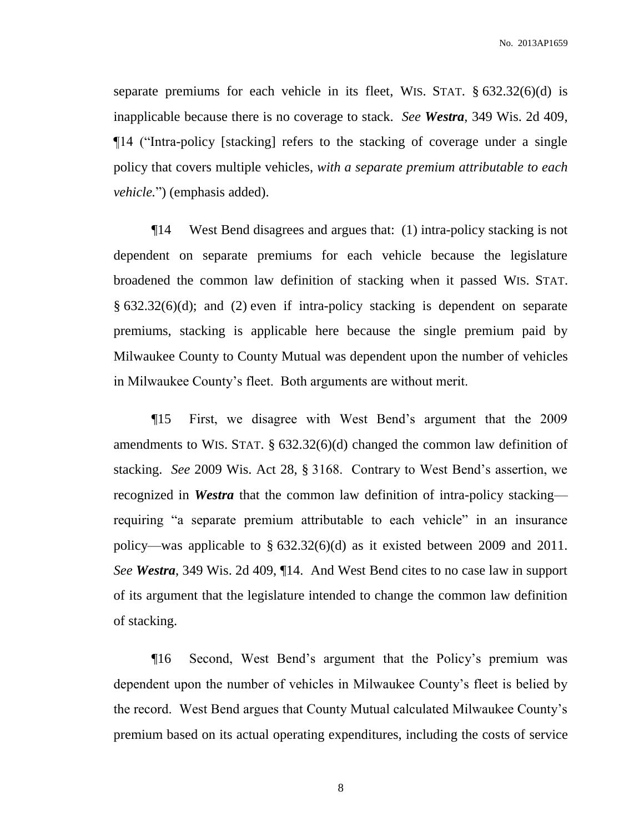separate premiums for each vehicle in its fleet, WIS. STAT.  $\S 632.32(6)(d)$  is inapplicable because there is no coverage to stack. *See Westra*, 349 Wis. 2d 409, ¶14 ("Intra-policy [stacking] refers to the stacking of coverage under a single policy that covers multiple vehicles, *with a separate premium attributable to each vehicle.*") (emphasis added).

¶14 West Bend disagrees and argues that: (1) intra-policy stacking is not dependent on separate premiums for each vehicle because the legislature broadened the common law definition of stacking when it passed WIS. STAT. § 632.32(6)(d); and (2) even if intra-policy stacking is dependent on separate premiums, stacking is applicable here because the single premium paid by Milwaukee County to County Mutual was dependent upon the number of vehicles in Milwaukee County's fleet. Both arguments are without merit.

¶15 First, we disagree with West Bend's argument that the 2009 amendments to WIS. STAT. § 632.32(6)(d) changed the common law definition of stacking. *See* 2009 Wis. Act 28, § 3168. Contrary to West Bend's assertion, we recognized in *Westra* that the common law definition of intra-policy stacking requiring "a separate premium attributable to each vehicle" in an insurance policy—was applicable to § 632.32(6)(d) as it existed between 2009 and 2011. *See Westra*, 349 Wis. 2d 409, ¶14. And West Bend cites to no case law in support of its argument that the legislature intended to change the common law definition of stacking.

¶16 Second, West Bend's argument that the Policy's premium was dependent upon the number of vehicles in Milwaukee County's fleet is belied by the record. West Bend argues that County Mutual calculated Milwaukee County's premium based on its actual operating expenditures, including the costs of service

8